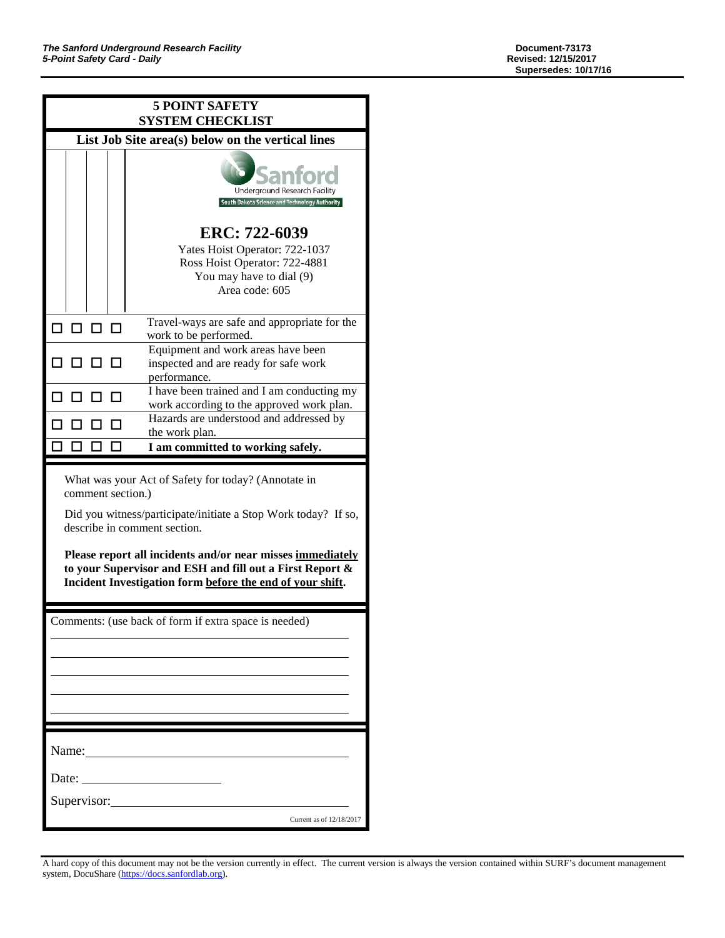| <b>5 POINT SAFETY</b><br><b>SYSTEM CHECKLIST</b>  |    |  |  |                                                                                                                                                                                                                                                                                                                                                                   |  |  |
|---------------------------------------------------|----|--|--|-------------------------------------------------------------------------------------------------------------------------------------------------------------------------------------------------------------------------------------------------------------------------------------------------------------------------------------------------------------------|--|--|
| List Job Site area(s) below on the vertical lines |    |  |  |                                                                                                                                                                                                                                                                                                                                                                   |  |  |
|                                                   |    |  |  | Underground Research Facility<br>South Dakota Science and Technology Authority                                                                                                                                                                                                                                                                                    |  |  |
|                                                   |    |  |  | ERC: 722-6039<br>Yates Hoist Operator: 722-1037<br>Ross Hoist Operator: 722-4881<br>You may have to dial (9)<br>Area code: 605                                                                                                                                                                                                                                    |  |  |
| п                                                 | пп |  |  | Travel-ways are safe and appropriate for the<br>work to be performed.                                                                                                                                                                                                                                                                                             |  |  |
|                                                   |    |  |  | Equipment and work areas have been<br>inspected and are ready for safe work<br>performance.                                                                                                                                                                                                                                                                       |  |  |
|                                                   |    |  |  | I have been trained and I am conducting my<br>work according to the approved work plan.                                                                                                                                                                                                                                                                           |  |  |
|                                                   |    |  |  | Hazards are understood and addressed by<br>the work plan.                                                                                                                                                                                                                                                                                                         |  |  |
|                                                   |    |  |  |                                                                                                                                                                                                                                                                                                                                                                   |  |  |
|                                                   |    |  |  | I am committed to working safely.                                                                                                                                                                                                                                                                                                                                 |  |  |
|                                                   |    |  |  | What was your Act of Safety for today? (Annotate in<br>comment section.)<br>Did you witness/participate/initiate a Stop Work today? If so,<br>describe in comment section.<br>Please report all incidents and/or near misses immediately<br>to your Supervisor and ESH and fill out a First Report &<br>Incident Investigation form before the end of your shift. |  |  |
|                                                   |    |  |  | Comments: (use back of form if extra space is needed)                                                                                                                                                                                                                                                                                                             |  |  |
|                                                   |    |  |  |                                                                                                                                                                                                                                                                                                                                                                   |  |  |
|                                                   |    |  |  |                                                                                                                                                                                                                                                                                                                                                                   |  |  |
| Date:                                             |    |  |  | Name:                                                                                                                                                                                                                                                                                                                                                             |  |  |
|                                                   |    |  |  | Supervisor:                                                                                                                                                                                                                                                                                                                                                       |  |  |

A hard copy of this document may not be the version currently in effect. The current version is always the version contained within SURF's document management system, DocuShare [\(https://docs.sanfordlab.org\)](https://docs.sanfordlab.org/).